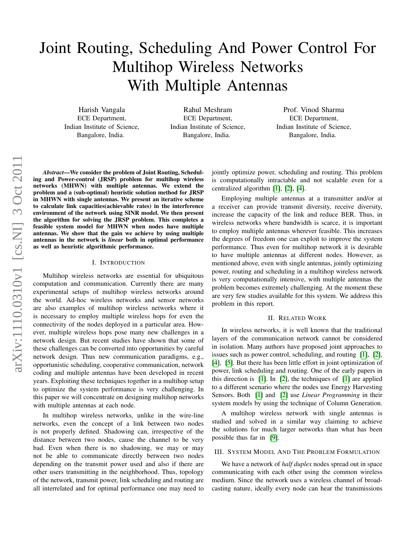# Joint Routing, Scheduling And Power Control For Multihop Wireless Networks With Multiple Antennas

Harish Vangala ECE Department, Indian Institute of Science, Bangalore, India.

Rahul Meshram ECE Department, Indian Institute of Science, Bangalore, India.

Prof. Vinod Sharma ECE Department, Indian Institute of Science, Bangalore, India.

*Abstract*—We consider the problem of Joint Routing, Scheduling and Power-control (JRSP) problem for multihop wireless networks (MHWN) with multiple antennas. We extend the problem and a (sub-optimal) heuristic solution method for JRSP in MHWN with single antennas. We present an iterative scheme to calculate link capacities(achievable rates) in the interference environment of the network using SINR model. We then present the algorithm for solving the JRSP problem. This completes a feasible system model for MHWN when nodes have multiple antennas. We show that the gain we achieve by using multiple antennas in the network is *linear* both in optimal performance as well as heuristic algorithmic performance.

#### I. INTRODUCTION

Multihop wireless networks are essential for ubiquitous computation and communication. Currently there are many experimental setups of multihop wireless networks around the world. Ad-hoc wireless networks and sensor networks are also examples of multihop wireless networks where it is necessary to employ multiple wireless hops for even the connectivity of the nodes deployed in a particular area. However, multiple wireless hops pose many new challenges in a network design. But recent studies have shown that some of these challenges can be converted into opportunities by careful network design. Thus new communication paradigms, e.g., opportunistic scheduling, cooperative communication, network coding and multiple antennas have been developed in recent years. Exploiting these techniques together in a multihop setup to optimize the system performance is very challenging. In this paper we will concentrate on designing multihop networks with multiple antennas at each node.

In multihop wireless networks, unlike in the wire-line networks, even the concept of a link between two nodes is not properly defined. Shadowing can, irrespective of the distance between two nodes, cause the channel to be very bad. Even when there is no shadowing, we may or may not be able to communicate directly between two nodes depending on the transmit power used and also if there are other users transmitting in the neighborhood. Thus, topology of the network, transmit power, link scheduling and routing are all interrelated and for optimal performance one may need to jointly optimize power, scheduling and routing. This problem is computationally intractable and not scalable even for a centralized algorithm [\[1\]](#page-5-0), [\[2\]](#page-5-1), [\[4\]](#page-5-2).

Employing multiple antennas at a transmitter and/or at a receiver can provide transmit diversity, receive diversity, increase the capacity of the link and reduce BER. Thus, in wireless networks where bandwidth is scarce, it is important to employ multiple antennas wherever feasible. This increases the degrees of freedom one can exploit to improve the system performance. Thus even for multihop network it is desirable to have multiple antennas at different nodes. However, as mentioned above, even with single antennas, jointly optimizing power, routing and scheduling in a multihop wireless network is very computationally intensive, with multiple antennas the problem becomes extremely challenging. At the moment these are very few studies available for this system. We address this problem in this report.

### II. RELATED WORK

In wireless networks, it is well known that the traditional layers of the communication network cannot be considered in isolation. Many authors have proposed joint approaches to issues such as power control, scheduling, and routing [\[1\]](#page-5-0), [\[2\]](#page-5-1), [\[4\]](#page-5-2), [\[5\]](#page-5-3). But there has been little effort in joint optimization of power, link scheduling and routing. One of the early papers in this direction is [\[1\]](#page-5-0). In [\[2\]](#page-5-1), the techniques of  $[1]$  are applied to a different scenario where the nodes use Energy Harvesting Sensors. Both [\[1\]](#page-5-0) and [\[2\]](#page-5-1) use *Linear Programming* in their system models by using the technique of Column Generation.

A multihop wireless network with single antennas is studied and solved in a similar way claiming to achieve the solutions for much larger networks than what has been possible thus far in [\[9\]](#page-5-4).

# III. SYSTEM MODEL AND THE PROBLEM FORMULATION

We have a network of *half duplex* nodes spread out in space communicating with each other using the common wireless medium. Since the network uses a wireless channel of broadcasting nature, ideally every node can hear the transmissions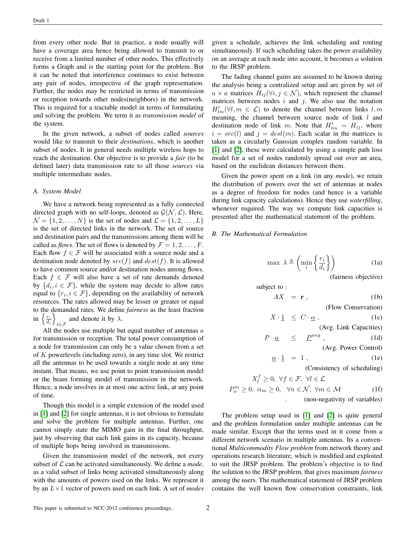from every other node. But in practice, a node usually will have a coverage area hence being allowed to transmit to or receive from a limited number of other nodes. This effectively forms a Graph and is the starting point for the problem. But it can be noted that interference continues to exist between any pair of nodes, irrespective of the graph representation. Further, the nodes may be restricted in terms of transmission or reception towards other nodes(neighbors) in the network. This is required for a tractable model in terms of formulating and solving the problem. We term it as *transmission model* of the system.

In the given network, a subset of nodes called *sources* would like to transmit to their *destinations*, which is another subset of nodes. It in general needs multiple wireless hops to reach the destination. Our objective is to provide a *fair* (to be defined later) data transmission rate to all those *sources* via multiple intermediate nodes.

#### *A. System Model*

We have a network being represented as a fully connected directed graph with no self-loops, denoted as  $G(N, \mathcal{L})$ . Here,  $\mathcal{N} = \{1, 2, \ldots, N\}$  is the set of nodes and  $\mathcal{L} = \{1, 2, \ldots, L\}$ is the set of directed links in the network. The set of source and destination pairs and the transmissions among them will be called as *flows*. The set of flows is denoted by  $\mathcal{F} = 1, 2, \dots, F$ . Each flow  $f \in \mathcal{F}$  will be associated with a source node and a destination node denoted by  $src(f)$  and  $dest(f)$ . It is allowed to have common source and/or destination nodes among flows. Each  $f \in \mathcal{F}$  will also have a set of rate demands denoted by  $\{d_i, i \in \mathcal{F}\}\$ , while the system may decide to allow rates equal to  $\{r_i, i \in \mathcal{F}\}\$ , depending on the availability of network resources. The rates allowed may be lesser or greater or equal to the demanded rates. We define *fairness* as the least fraction in  $\left\{\frac{r_i}{d_i}\right\}$  $\sum_{i \in \mathcal{F}}$  and denote it by  $\lambda$ .

All the nodes use multiple but equal number of antennas  $a$ for transmission or reception. The total power consumption of a node for transmission can only be a value chosen from a set of K powerlevels (including zero), in any time slot. We restrict all the antennas to be used towards a single node at any time instant. That means, we use point to point transmission model or the beam forming model of transmission in the network. Hence, a node involves in at most one active link, at any point of time.

Though this model is a simple extension of the model used in [\[1\]](#page-5-0) and [\[2\]](#page-5-1) for single antennas, it is not obvious to formulate and solve the problem for multiple antennas. Further, one cannot simply state the MIMO gain in the final throughput, just by observing that each link gains in its capacity, because of multiple hops being involved in transmissions.

Given the transmission model of the network, not every subset of  $\mathcal L$  can be activated simultaneously. We define a *mode*, as a valid subset of links being activated simultaneously along with the amounts of powers used on the links. We represent it by an L×1 vector of powers used on each link. A set of *modes* given a schedule, achieves the link scheduling and routing simultaneously. If such scheduling takes the power availability on an average at each node into account, it becomes *a* solution to the JRSP problem.

The fading channel gains are assumed to be known during the analysis being a centralized setup and are given by set of  $a \times a$  matrices  $H_{ij}(\forall i, j \in \mathcal{N})$ , which represent the channel matrices between nodes  $i$  and  $j$ . We also use the notation  $H'_{lm}(\forall l,m \in \mathcal{L})$  to denote the channel between links  $l,m$ meaning, the channel between source node of link l and destination node of link m. Note that  $H'_{lm} = H_{ij}$ , where  $i = src(l)$  and  $j = dest(m)$ . Each scalar in the matrices is taken as a circularly Gaussian complex random variable. In [\[1\]](#page-5-0) and [\[2\]](#page-5-1), these were calculated by using a simple path loss model for a set of nodes randomly spread out over an area, based on the euclidean distances between them.

Given the power spent on a link (in any *mode*), we retain the distribution of powers over the set of antennas at nodes as a degree of freedom for nodes (and hence is a variable during link capacity calculations). Hence they use *waterfilling*, whenever required. The way we compute link capacities is presented after the mathematical statement of the problem.

## <span id="page-1-0"></span>*B. The Mathematical Formulation*

$$
\max \ \lambda \triangleq \left( \min_{i} \left\{ \frac{r_i}{d_i} \right\} \right) \tag{1a}
$$

(fairness objective)

subject to :

$$
AX = \mathbf{r} \tag{1b}
$$

(Flow Conservation)

$$
X \cdot \underline{1} \leq C \cdot \underline{\alpha} \,, \tag{1c}
$$

(Avg. Link Capacities)

$$
P \cdot \underline{\alpha} \quad \le \quad \underline{P}^{avg} \;, \tag{1d}
$$

(Avg. Power Control)

$$
\underline{\alpha} \cdot \underline{1} = 1 , \qquad (1e)
$$

(Consistency of scheduling)

$$
X_l^f \ge 0, \ \forall f \in \mathcal{F}, \ \forall l \in \mathcal{L}
$$
  

$$
P_n^m \ge 0, \ \alpha_m \ge 0, \ \ \forall n \in \mathcal{N}, \ \forall m \in \mathcal{M}
$$
 (1f)

. (non-negativity of variables)

The problem setup used in [\[1\]](#page-5-0) and [\[2\]](#page-5-1) is quite general and the problem formulation under multiple antennas can be made similar. Except that the terms used in it come from a different network scenario in multiple antennas. Its a conventional *Multicommodity Flow problem* from network theory and operations research literature, which is modified and exploited to suit the JRSP problem. The problem's objective is to find the solution to the JRSP problem, that gives maximum *fairness* among the users. The mathematical statement of JRSP problem contains the well known flow conservation constraints, link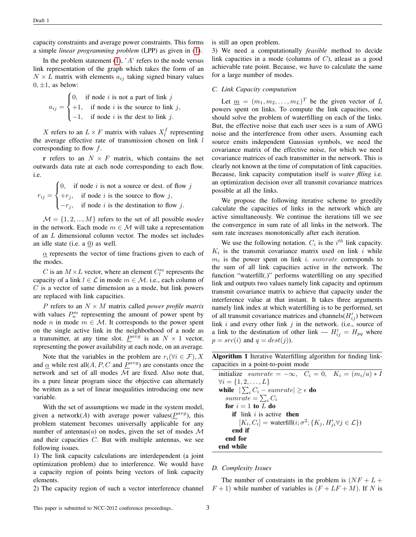capacity constraints and average power constraints. This forms a simple *linear programming problem* (LPP) as given in [\(1\)](#page-1-0).

In the problem statement  $(1)$ , 'A' refers to the node versus link representation of the graph which takes the form of an  $N \times L$  matrix with elements  $a_{ij}$  taking signed binary values  $0, \pm 1$ , as below:

$$
a_{ij} = \begin{cases} 0, & \text{if node } i \text{ is not a part of link } j \\ +1, & \text{if node } i \text{ is the source to link } j, \\ -1, & \text{if node } i \text{ is the dest to link } j. \end{cases}
$$

X refers to an  $L \times F$  matrix with values  $X_i^f$  representing the average effective rate of transmission chosen on link  $l$ corresponding to flow f.

r refers to an  $N \times F$  matrix, which contains the net outwards data rate at each node corresponding to each flow. i.e.

$$
r_{ij} = \begin{cases} 0, & \text{if node } i \text{ is not a source or dest. of flow } j \\ +r_j, & \text{if node } i \text{ is the source to flow } j, \\ -r_j, & \text{if node } i \text{ is the destination to flow } j. \end{cases}
$$

 $M = \{1, 2, ..., M\}$  refers to the set of all possible *modes* in the network. Each mode  $m \in \mathcal{M}$  will take a representation of an L dimensional column vector. The modes set includes an idle state (i.e. a 0) as well.

 $\alpha$  represents the vector of time fractions given to each of the modes.

C is an  $M \times L$  vector, where an element  $C_l^m$  represents the capacity of a link  $l \in \mathcal{L}$  in mode  $m \in \mathcal{M}$ . i.e., each column of  $C$  is a vector of same dimension as a mode, but link powers are replaced with link capacities.

P refers to an  $N \times M$  matrix called *power profile matrix* with values  $P_n^m$  representing the amount of power spent by node *n* in mode  $m \in \mathcal{M}$ . It corresponds to the power spent on the single active link in the neighborhood of a node as a transmitter, at any time slot.  $\underline{P}^{avg}$  is an  $N \times 1$  vector, representing the power availability at each node, on an average.

Note that the variables in the problem are  $r_i(\forall i \in \mathcal{F}), X$ and  $\alpha$  while rest all $(A, P, C$  and  $P^{avg}$ ) are constants once the network and set of all modes  $M$  are fixed. Also note that, its a pure linear program since the objective can alternately be written as a set of linear inequalities introducing one new variable.

With the set of assumptions we made in the system model, given a network(A) with average power values( $P^{avg}$ ), this problem statement becomes universally applicable for any number of antennas(*a*) on nodes, given the set of modes  $\mathcal M$ and their capacities  $C$ . But with multiple antennas, we see following issues.

1) The link capacity calculations are interdependent (a joint optimization problem) due to interference. We would have a capacity region of points being vectors of link capacity elements.

2) The capacity region of such a vector interference channel

is still an open problem.

3) We need a computationally *feasible* method to decide link capacities in a mode (columns of  $C$ ), atleast as a good achievable rate point. Because, we have to calculate the same for a large number of modes.

# *C. Link Capacity computation*

Let  $\underline{m} = (m_1, m_2, \dots, m_L)^T$  be the given vector of L powers spent on links. To compute the link capacities, one should solve the problem of waterfilling on each of the links. But, the effective noise that each user sees is a sum of AWG noise and the interference from other users. Assuming each source emits independent Gaussian symbols, we need the covariance matrix of the effective noise, for which we need covariance matrices of each transmitter in the network. This is clearly not known at the time of computation of link capacities. Because, link capacity computation itself is *water flling* i.e. an optimization decision over all transmit covariance matrices possible at all the links.

We propose the following iterative scheme to greedily calculate the capacities of links in the network which are active simultaneously. We continue the iterations till we see the convergence in sum rate of all links in the network. The sum rate increases monotonically after each iteration.

We use the following notation.  $C_i$  is the  $i^{th}$  link capacity.  $K_i$  is the transmit covariance matrix used on link i while  $m_i$  is the power spent on link i. sumrate corresponds to the sum of all link capacities active in the network. The function "waterfill(.)" performs waterfilling on any specified link and outputs two values namely link capacity and optimum transmit covariance matrix to achieve that capacity under the interference value at that instant. It takes three arguments namely link index at which waterfilling is to be performed, set of all transmit covariance matrices and channels  $(H'_{ij})$  between link  $i$  and every other link  $j$  in the network. (i.e., source of a link to the destination of other link —  $H'_{ij} = H_{pq}$  where  $p = src(i)$  and  $q = dest(j)$ ).

Algorithm 1 Iterative Waterfilling algorithm for finding linkcapacities in a point-to-point mode

| initialize summate $=-\infty$ , $C_i = 0$ , $K_i = (m_i/a) * I$                          |
|------------------------------------------------------------------------------------------|
| $\forall i = \{1, 2, , L\}$                                                              |
| while $ \sum_i C_i - sumrate  \geq \epsilon$ do                                          |
| sumrate $=\sum_i C_i$                                                                    |
| for $i = 1$ to L do                                                                      |
| <b>if</b> link i is active <b>then</b>                                                   |
| $[K_i, C_i] = \text{waterfill}(i; \sigma^2; \{K_j, H'_{ij} \forall j \in \mathcal{L}\})$ |
| end if                                                                                   |
| end for                                                                                  |
| end while                                                                                |

# *D. Complexity Issues*

The number of constraints in the problem is  $(NF + L +$  $F + 1$ ) while number of variables is  $(F + LF + M)$ . If N is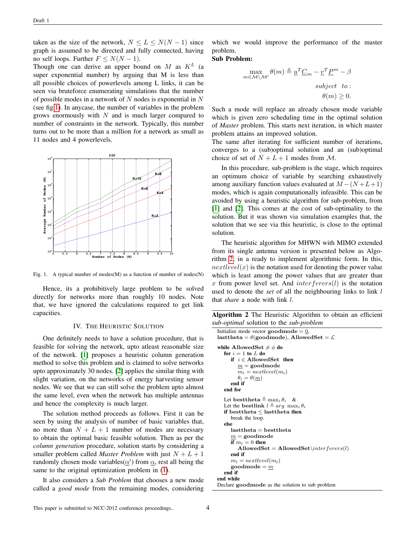taken as the size of the network,  $N \leq L \leq N(N-1)$  since graph is assumed to be directed and fully connected, having no self loops. Further  $F \leq N(N-1)$ .

Though one can derive an upper bound on  $M$  as  $K^L$  (a super exponential number) by arguing that M is less than all possible choices of powerlevels among L links, it can be seen via bruteforce enumerating simulations that the number of possible modes in a network of  $N$  nodes is exponential in  $N$ (see fig[.1\)](#page-3-0). In anycase, the number of variables in the problem grows enormously with  $N$  and is much larger compared to number of constraints in the network. Typically, this number turns out to be more than a million for a network as small as 11 nodes and 4 powerlevels.



<span id="page-3-0"></span>Fig. 1. A typical number of modes(M) as a function of number of nodes(N)

Hence, its a prohibitively large problem to be solved directly for networks more than roughly 10 nodes. Note that, we have ignored the calculations required to get link capacities.

# IV. THE HEURISTIC SOLUTION

One definitely needs to have a solution procedure, that is feasible for solving the network, upto atleast reasonable size of the network. [\[1\]](#page-5-0) proposes a heuristic column generation method to solve this problem and is claimed to solve networks upto approximately 30 nodes. [\[2\]](#page-5-1) applies the similar thing with slight variation, on the networks of energy harvesting sensor nodes. We see that we can still solve the problem upto almost the same level, even when the network has multiple antennas and hence the complexity is much larger.

The solution method proceeds as follows. First it can be seen by using the analysis of number of basic variables that, no more than  $N + L + 1$  number of modes are necessary to obtain the optimal basic feasible solution. Then as per the *column generation* procedure, solution starts by considering a smaller problem called *Master Problem* with just  $N + L + 1$ randomly chosen mode variables( $\alpha'$ ) from  $\alpha$ , rest all being the same to the original optimization problem in [\(1\)](#page-1-0).

It also considers a *Sub Problem* that chooses a new mode called a *good mode* from the remaining modes, considering

which we would improve the performance of the master problem.

## Sub Problem:

$$
\max_{m \in \mathcal{M} \setminus \mathcal{M}'} \theta(m) \triangleq \underline{u}^T \underline{C}_m - \underline{v}^T \underline{P}^m - \beta
$$
\n
$$
subject \quad to:
$$
\n
$$
\theta(m) \geq 0.
$$

Such a mode will replace an already chosen mode variable which is given zero scheduling time in the optimal solution of *Master* problem. This starts next iteration, in which master problem attains an improved solution.

The same after iterating for sufficient number of iterations, converges to a (sub)optimal solution and an (sub)optimal choice of set of  $N + L + 1$  modes from M.

In this procedure, sub-problem is the stage, which requires an optimum choice of variable by searching exhaustively among auxiliary function values evaluated at  $M - (N + L + 1)$ modes, which is again computationally infeasible. This can be avoided by using a heuristic algorithm for sub-problem, from [\[1\]](#page-5-0) and [\[2\]](#page-5-1). This comes at the cost of sub-optimality to the solution. But it was shown via simulation examples that, the solution that we see via this heuristic, is close to the optimal solution.

The heuristic algorithm for MHWN with MIMO extended from its single antenna version is presented below as Algorithm [2,](#page-3-1) in a ready to implement algorithmic form. In this,  $nextlevel(x)$  is the notation used for denoting the power value which is least among the power values that are greater than x from power level set. And  $interferers(l)$  is the notation used to denote the *set* of all the neighbouring links to link l that *share* a node with link l.

<span id="page-3-1"></span>Algorithm 2 The Heuristic Algorithm to obtain an efficient *sub-optimal* solution to the *sub-problem*

```
Initialize mode vector \text{goodmode} = 0,
lasttheta = \theta(goodmode), AllowedSet = \mathcal{L}while AllowedSet \neq \phi do
  for i = 1 to L do
     if i \in AllowedSet then
        m = goodmode
        m_i = nextlevel(m_i)\theta_i = \theta(m)end if
   end for
  Let besttheta \triangleq \max_i \theta_i &
  Let the bestlink l \triangleq arg \max_i \theta_iif besttheta \leq lasttheta then
     break the loop.
   else
     lasttheta = besttheta
     m = goodmode
     if m_l = 0 then
         AllowedSet = AllowedSet\interferers(l)end if
     m_l = nextlevel(m_l)goodmode = mend if
end while
Declare goodmode as the solution to sub problem
```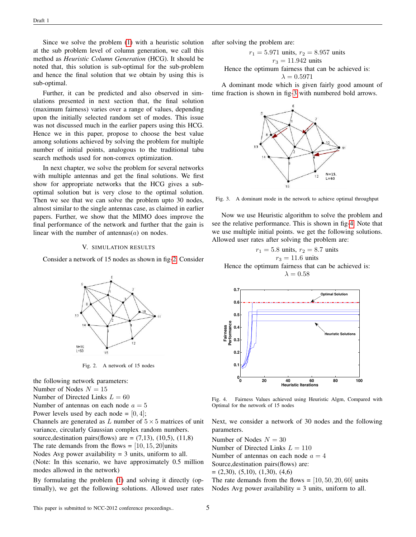Since we solve the problem [\(1\)](#page-1-0) with a heuristic solution at the sub problem level of column generation, we call this method as *Heuristic Column Generation* (HCG). It should be noted that, this solution is sub-optimal for the sub-problem and hence the final solution that we obtain by using this is sub-optimal.

Further, it can be predicted and also observed in simulations presented in next section that, the final solution (maximum fairness) varies over a range of values, depending upon the initially selected random set of modes. This issue was not discussed much in the earlier papers using this HCG. Hence we in this paper, propose to choose the best value among solutions achieved by solving the problem for multiple number of initial points, analogous to the traditional tabu search methods used for non-convex optimization.

In next chapter, we solve the problem for several networks with multiple antennas and get the final solutions. We first show for appropriate networks that the HCG gives a suboptimal solution but is very close to the optimal solution. Then we see that we can solve the problem upto 30 nodes, almost similar to the single antennas case, as claimed in earlier papers. Further, we show that the MIMO does improve the final performance of the network and further that the gain is linear with the number of antennas $(a)$  on nodes.

## V. SIMULATION RESULTS

Consider a network of 15 nodes as shown in fig[-2.](#page-4-0) Consider



<span id="page-4-0"></span>Fig. 2. A network of 15 nodes

the following network parameters:

Number of Nodes  $N = 15$ 

Number of Directed Links  $L = 60$ 

Number of antennas on each node  $a = 5$ 

Power levels used by each node =  $[0, 4]$ ;

Channels are generated as L number of  $5 \times 5$  matrices of unit variance, circularly Gaussian complex random numbers.

source, destination pairs(flows) are  $= (7,13)$ ,  $(10,5)$ ,  $(11,8)$ 

The rate demands from the flows  $= [10, 15, 20]$ units

Nodes Avg power availability  $= 3$  units, uniform to all.

(Note: In this scenario, we have approximately 0.5 million modes allowed in the network)

By formulating the problem [\(1\)](#page-1-0) and solving it directly (optimally), we get the following solutions. Allowed user rates after solving the problem are:

$$
r_1 = 5.971
$$
 units,  $r_2 = 8.957$  units  
 $r_3 = 11.942$  units

Hence the optimum fairness that can be achieved is:

$$
\lambda = 0.5971
$$

A dominant mode which is given fairly good amount of time fraction is shown in fig[-3](#page-4-1) with numbered bold arrows.



<span id="page-4-1"></span>Fig. 3. A dominant mode in the network to achieve optimal throughput

Now we use Heuristic algorithm to solve the problem and see the relative performance. This is shown in fig[-4.](#page-4-2) Note that we use multiple initial points. we get the following solutions. Allowed user rates after solving the problem are:

 $r_1 = 5.8$  units,  $r_2 = 8.7$  units  $r_3 = 11.6 \text{ units}$ Hence the optimum fairness that can be achieved is:  $\lambda = 0.58$ 



<span id="page-4-2"></span>Fig. 4. Fairness Values achieved using Heuristic Algm, Compared with Optimal for the network of 15 nodes

Next, we consider a network of 30 nodes and the following parameters.

Number of Nodes  $N = 30$ 

Number of Directed Links  $L = 110$ 

Number of antennas on each node  $a = 4$ 

Source,destination pairs(flows) are:

 $=(2,30), (5,10), (1,30), (4,6)$ 

The rate demands from the flows  $=[10, 50, 20, 60]$  units Nodes Avg power availability  $= 3$  units, uniform to all.